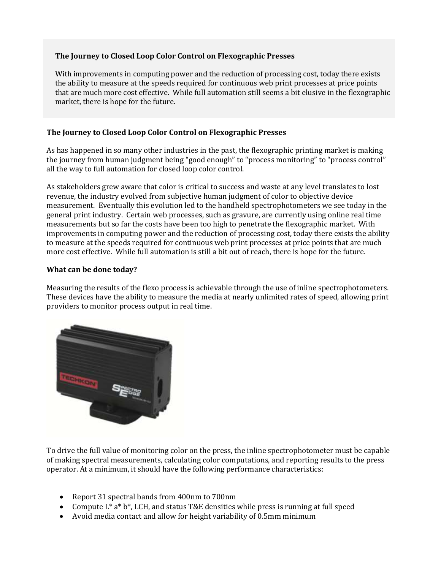## **The Journey to Closed Loop Color Control on Flexographic Presses**

With improvements in computing power and the reduction of processing cost, today there exists the ability to measure at the speeds required for continuous web print processes at price points that are much more cost effective. While full automation still seems a bit elusive in the flexographic market, there is hope for the future.

# **The Journey to Closed Loop Color Control on Flexographic Presses**

As has happened in so many other industries in the past, the flexographic printing market is making the journey from human judgment being "good enough" to "process monitoring" to "process control" all the way to full automation for closed loop color control.

As stakeholders grew aware that color is critical to success and waste at any level translates to lost revenue, the industry evolved from subjective human judgment of color to objective device measurement. Eventually this evolution led to the handheld spectrophotometers we see today in the general print industry. Certain web processes, such as gravure, are currently using online real time measurements but so far the costs have been too high to penetrate the flexographic market. With improvements in computing power and the reduction of processing cost, today there exists the ability to measure at the speeds required for continuous web print processes at price points that are much more cost effective. While full automation is still a bit out of reach, there is hope for the future.

## **What can be done today?**

Measuring the results of the flexo process is achievable through the use of inline spectrophotometers. These devices have the ability to measure the media at nearly unlimited rates of speed, allowing print providers to monitor process output in real time.



To drive the full value of monitoring color on the press, the inline spectrophotometer must be capable of making spectral measurements, calculating color computations, and reporting results to the press operator. At a minimum, it should have the following performance characteristics:

- Report 31 spectral bands from 400nm to 700nm
- Compute  $L^* a^* b^*$ , LCH, and status T&E densities while press is running at full speed
- Avoid media contact and allow for height variability of 0.5mm minimum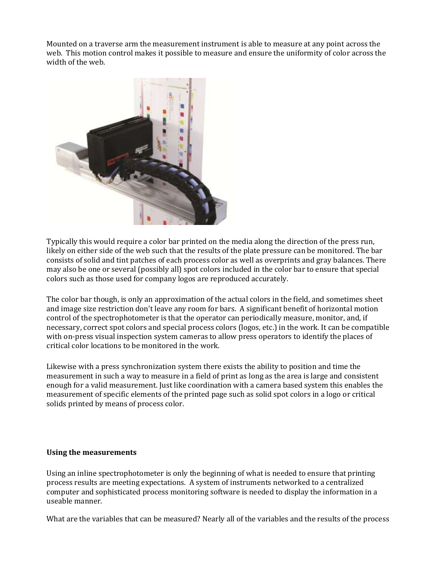Mounted on a traverse arm the measurement instrument is able to measure at any point across the web. This motion control makes it possible to measure and ensure the uniformity of color across the width of the web.



Typically this would require a color bar printed on the media along the direction of the press run, likely on either side of the web such that the results of the plate pressure can be monitored. The bar consists of solid and tint patches of each process color as well as overprints and gray balances. There may also be one or several (possibly all) spot colors included in the color bar to ensure that special colors such as those used for company logos are reproduced accurately.

The color bar though, is only an approximation of the actual colors in the field, and sometimes sheet and image size restriction don't leave any room for bars. A significant benefit of horizontal motion control of the spectrophotometer is that the operator can periodically measure, monitor, and, if necessary, correct spot colors and special process colors (logos, etc.) in the work. It can be compatible with on-press visual inspection system cameras to allow press operators to identify the places of critical color locations to be monitored in the work.

Likewise with a press synchronization system there exists the ability to position and time the measurement in such a way to measure in a field of print as long as the area is large and consistent enough for a valid measurement. Just like coordination with a camera based system this enables the measurement of specific elements of the printed page such as solid spot colors in a logo or critical solids printed by means of process color.

### **Using the measurements**

Using an inline spectrophotometer is only the beginning of what is needed to ensure that printing process results are meeting expectations. A system of instruments networked to a centralized computer and sophisticated process monitoring software is needed to display the information in a useable manner.

What are the variables that can be measured? Nearly all of the variables and the results of the process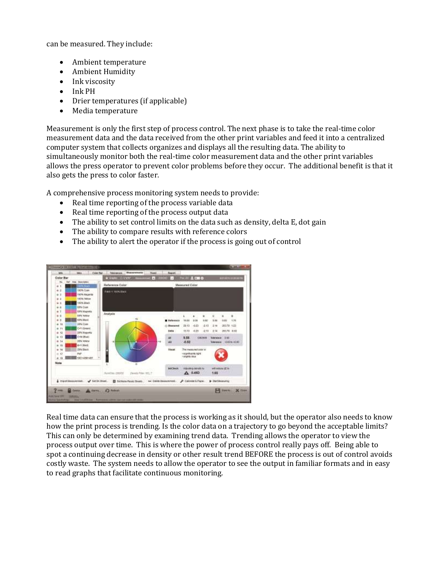can be measured. They include:

- Ambient temperature
- Ambient Humidity
- Ink viscosity
- Ink PH
- Drier temperatures (if applicable)
- Media temperature

Measurement is only the first step of process control. The next phase is to take the real-time color measurement data and the data received from the other print variables and feed it into a centralized computer system that collects organizes and displays all the resulting data. The ability to simultaneously monitor both the real-time color measurement data and the other print variables allows the press operator to prevent color problems before they occur. The additional benefit is that it also gets the press to color faster.

A comprehensive process monitoring system needs to provide:

- Real time reporting of the process variable data
- Real time reporting of the process output data
- The ability to set control limits on the data such as density, delta E, dot gain
- The ability to compare results with reference colors
- The ability to alert the operator if the process is going out of control



Real time data can ensure that the process is working as it should, but the operator also needs to know how the print process is trending. Is the color data on a trajectory to go beyond the acceptable limits? This can only be determined by examining trend data. Trending allows the operator to view the process output over time. This is where the power of process control really pays off. Being able to spot a continuing decrease in density or other result trend BEFORE the process is out of control avoids costly waste. The system needs to allow the operator to see the output in familiar formats and in easy to read graphs that facilitate continuous monitoring.